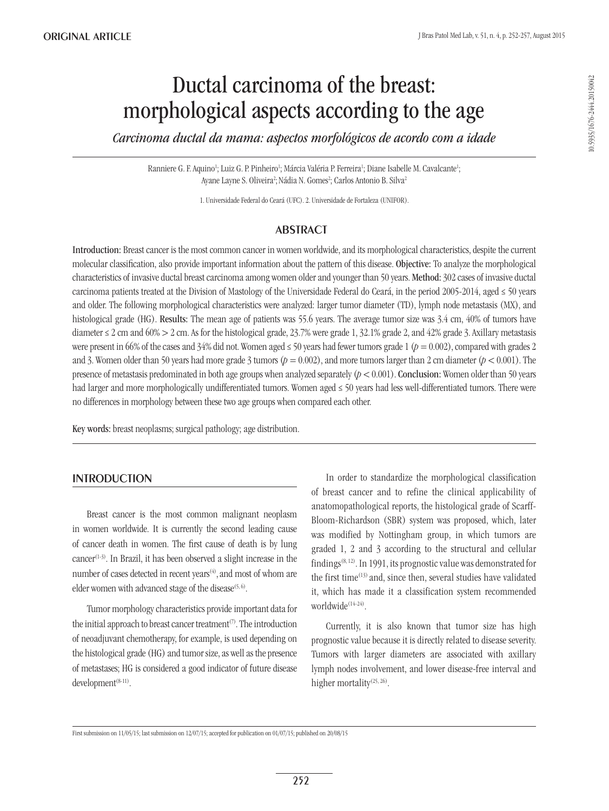# Ductal carcinoma of the breast: morphological aspects according to the age

*Carcinoma ductal da mama: aspectos morfológicos de acordo com a idade*

Ranniere G. F. Aquino<sup>1</sup>; Luiz G. P. Pinheiro<sup>1</sup>; Márcia Valéria P. Ferreira<sup>1</sup>; Diane Isabelle M. Cavalcante<sup>1</sup>; Ayane Layne S. Oliveira<sup>2</sup>; Nádia N. Gomes<sup>2</sup>; Carlos Antonio B. Silva<sup>2</sup>

1. Universidade Federal do Ceará (UFC). 2. Universidade de Fortaleza (UNIFOR).

# **ABSTRACT**

Introduction: Breast cancer is the most common cancer in women worldwide, and its morphological characteristics, despite the current molecular classification, also provide important information about the pattern of this disease. Objective: To analyze the morphological characteristics of invasive ductal breast carcinoma among women older and younger than 50 years. Method: 302 cases of invasive ductal carcinoma patients treated at the Division of Mastology of the Universidade Federal do Ceará, in the period 2005-2014, aged  $\leq 50$  years and older. The following morphological characteristics were analyzed: larger tumor diameter (TD), lymph node metastasis (MX), and histological grade (HG). Results: The mean age of patients was 55.6 years. The average tumor size was 3.4 cm, 40% of tumors have diameter  $\leq$  2 cm and 60%  $>$  2 cm. As for the histological grade, 23.7% were grade 1, 32.1% grade 2, and 42% grade 3. Axillary metastasis were present in 66% of the cases and 34% did not. Women aged  $\leq$  50 years had fewer tumors grade 1 ( $p = 0.002$ ), compared with grades 2 and 3. Women older than 50 years had more grade 3 tumors ( $p = 0.002$ ), and more tumors larger than 2 cm diameter ( $p < 0.001$ ). The presence of metastasis predominated in both age groups when analyzed separately  $(p < 0.001)$ . Conclusion: Women older than 50 years had larger and more morphologically undifferentiated tumors. Women aged ≤ 50 years had less well-differentiated tumors. There were no differences in morphology between these two age groups when compared each other.

Key words: breast neoplasms; surgical pathology; age distribution.

# **INTRODUCTION**

Breast cancer is the most common malignant neoplasm in women worldwide. It is currently the second leading cause of cancer death in women. The first cause of death is by lung  $cancer^{(1-3)}$ . In Brazil, it has been observed a slight increase in the number of cases detected in recent years<sup>(4)</sup>, and most of whom are elder women with advanced stage of the disease<sup> $(5, 6)$ </sup>.

Tumor morphology characteristics provide important data for the initial approach to breast cancer treatment<sup> $(7)$ </sup>. The introduction of neoadjuvant chemotherapy, for example, is used depending on the histological grade (HG) and tumor size, as well as the presence of metastases; HG is considered a good indicator of future disease development<sup>(8-11)</sup>.

In order to standardize the morphological classification of breast cancer and to refine the clinical applicability of anatomopathological reports, the histological grade of Scarff-Bloom-Richardson (SBR) system was proposed, which, later was modified by Nottingham group, in which tumors are graded 1, 2 and 3 according to the structural and cellular findings(8, 12). In 1991, its prognostic value was demonstrated for the first time(13) and, since then, several studies have validated it, which has made it a classification system recommended worldwide<sup>(14-24)</sup>.

Currently, it is also known that tumor size has high prognostic value because it is directly related to disease severity. Tumors with larger diameters are associated with axillary lymph nodes involvement, and lower disease-free interval and higher mortality<sup>(25, 26)</sup>.

First submission on 11/05/15; last submission on 12/07/15; accepted for publication on 01/07/15; published on 20/08/15

10.5935/1676-2444.20150042 10.5935/1676-2444.20150042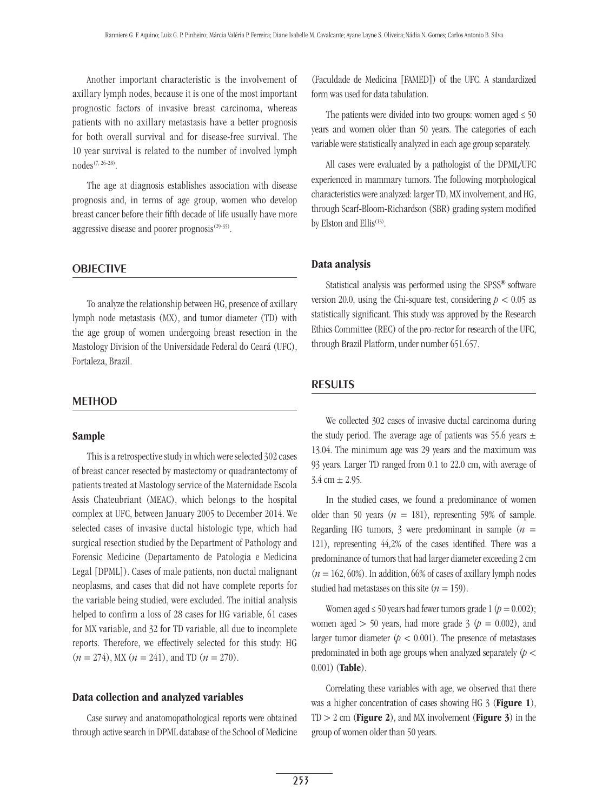Another important characteristic is the involvement of axillary lymph nodes, because it is one of the most important prognostic factors of invasive breast carcinoma, whereas patients with no axillary metastasis have a better prognosis for both overall survival and for disease-free survival. The 10 year survival is related to the number of involved lymph nodes(7, 26-28).

The age at diagnosis establishes association with disease prognosis and, in terms of age group, women who develop breast cancer before their fifth decade of life usually have more aggressive disease and poorer prognosis<sup>(29-35)</sup>.

#### **OBJECTIVE**

To analyze the relationship between HG, presence of axillary lymph node metastasis (MX), and tumor diameter (TD) with the age group of women undergoing breast resection in the Mastology Division of the Universidade Federal do Ceará (UFC), Fortaleza, Brazil.

#### **METHOD**

#### Sample

This is a retrospective study in which were selected 302 cases of breast cancer resected by mastectomy or quadrantectomy of patients treated at Mastology service of the Maternidade Escola Assis Chateubriant (MEAC), which belongs to the hospital complex at UFC, between January 2005 to December 2014. We selected cases of invasive ductal histologic type, which had surgical resection studied by the Department of Pathology and Forensic Medicine (Departamento de Patologia e Medicina Legal [DPML]). Cases of male patients, non ductal malignant neoplasms, and cases that did not have complete reports for the variable being studied, were excluded. The initial analysis helped to confirm a loss of 28 cases for HG variable, 61 cases for MX variable, and 32 for TD variable, all due to incomplete reports. Therefore, we effectively selected for this study: HG  $(n = 274)$ , MX  $(n = 241)$ , and TD  $(n = 270)$ .

#### Data collection and analyzed variables

Case survey and anatomopathological reports were obtained through active search in DPML database of the School of Medicine

(Faculdade de Medicina [FAMED]) of the UFC. A standardized form was used for data tabulation.

The patients were divided into two groups: women aged  $\leq 50$ years and women older than 50 years. The categories of each variable were statistically analyzed in each age group separately.

All cases were evaluated by a pathologist of the DPML/UFC experienced in mammary tumors. The following morphological characteristics were analyzed: larger TD, MX involvement, and HG, through Scarf-Bloom-Richardson (SBR) grading system modified by Elston and Ellis<sup>(13)</sup>.

#### Data analysis

Statistical analysis was performed using the SPSS**®** software version 20.0, using the Chi-square test, considering  $p < 0.05$  as statistically significant. This study was approved by the Research Ethics Committee (REC) of the pro-rector for research of the UFC, through Brazil Platform, under number 651.657.

# **RESULTS**

We collected 302 cases of invasive ductal carcinoma during the study period. The average age of patients was 55.6 years  $\pm$ 13.04. The minimum age was 29 years and the maximum was 93 years. Larger TD ranged from 0.1 to 22.0 cm, with average of  $3.4 \text{ cm} + 2.95.$ 

In the studied cases, we found a predominance of women older than 50 years  $(n = 181)$ , representing 59% of sample. Regarding HG tumors, 3 were predominant in sample  $(n =$ 121), representing 44,2% of the cases identified. There was a predominance of tumors that had larger diameter exceeding 2 cm  $(n = 162, 60\%)$ . In addition, 66% of cases of axillary lymph nodes studied had metastases on this site  $(n = 159)$ .

Women aged  $\leq 50$  years had fewer tumors grade 1 ( $p = 0.002$ ); women aged  $> 50$  years, had more grade  $3 (p = 0.002)$ , and larger tumor diameter  $(p < 0.001)$ . The presence of metastases predominated in both age groups when analyzed separately (*p* < 0.001) (Table).

Correlating these variables with age, we observed that there was a higher concentration of cases showing HG 3 (**Figure 1**),  $TD > 2$  cm (**Figure 2**), and MX involvement (**Figure 3**) in the group of women older than 50 years.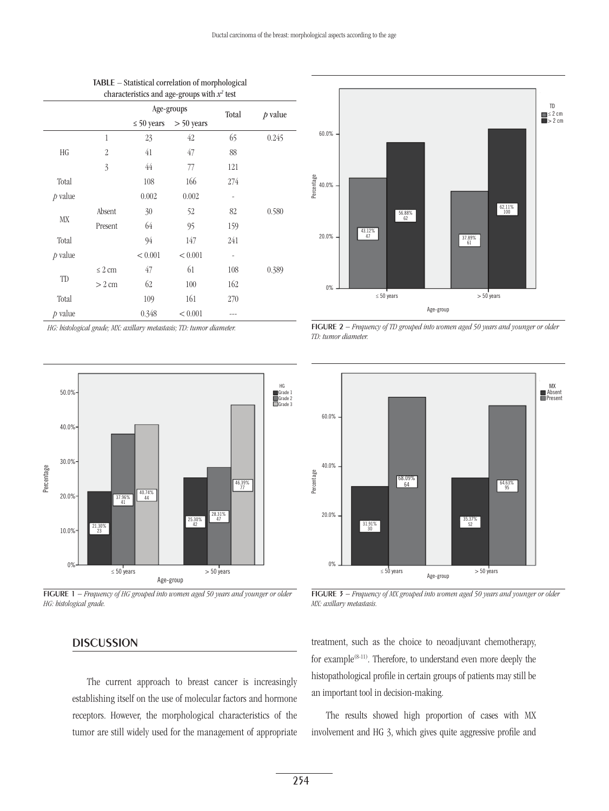| $\alpha$ characteristics and age-groups with $\alpha$ test |                  |                 |              |                              |           |
|------------------------------------------------------------|------------------|-----------------|--------------|------------------------------|-----------|
|                                                            |                  | Age-groups      |              | Total                        | $p$ value |
|                                                            |                  | $\leq 50$ years | $> 50$ years |                              |           |
| HG                                                         | 1                | 23              | 42           | 65                           | 0.245     |
|                                                            | $\overline{2}$   | 41              | 47           | 88                           |           |
|                                                            | 3                | 44              | 77           | 121                          |           |
| Total                                                      |                  | 108             | 166          | 274                          |           |
| $p$ value                                                  |                  | 0.002           | 0.002        |                              |           |
| МX                                                         | Absent           | 30              | 52           | 82                           | 0.580     |
|                                                            | Present          | 64              | 95           | 159                          |           |
| Total                                                      |                  | 94              | 147          | 241                          |           |
| $p$ value                                                  |                  | < 0.001         | < 0.001      | $\qquad \qquad \blacksquare$ |           |
| TD                                                         | $\leq 2$ cm      | 47              | 61           | 108                          | 0.389     |
|                                                            | $> 2 \text{ cm}$ | 62              | 100          | 162                          |           |
| Total                                                      |                  | 109             | 161          | 270                          |           |
| $p$ value                                                  |                  | 0.348           | < 0.001      |                              |           |

Table – Statistical correlation of morphological characteristics and age-groups with  $x^2$  test

*HG: histological grade; MX: axillary metastasis; TD: tumor diameter.*



Figure 1 *− Frequency of HG grouped into women aged 50 years and younger or older HG: histological grade.*

# TD **■** ≤ 2 cm<br>■ > 2 cm 60.0% 40.0% 20.0% 0% Percentage  $\leq 50$  years  $> 50$  years 43.12% 47 56.88% 62 37.89% 61 62.11% 100 Age-group

Figure 2 *− Frequency of TD grouped into women aged 50 years and younger or older TD: tumor diameter.*



Figure 3 *− Frequency of MX grouped into women aged 50 years and younger or older MX: axillary metastasis.*

# **DISCUSSION**

The current approach to breast cancer is increasingly establishing itself on the use of molecular factors and hormone receptors. However, the morphological characteristics of the tumor are still widely used for the management of appropriate treatment, such as the choice to neoadjuvant chemotherapy, for example<sup>(8-11)</sup>. Therefore, to understand even more deeply the histopathological profile in certain groups of patients may still be an important tool in decision-making.

The results showed high proportion of cases with MX involvement and HG 3, which gives quite aggressive profile and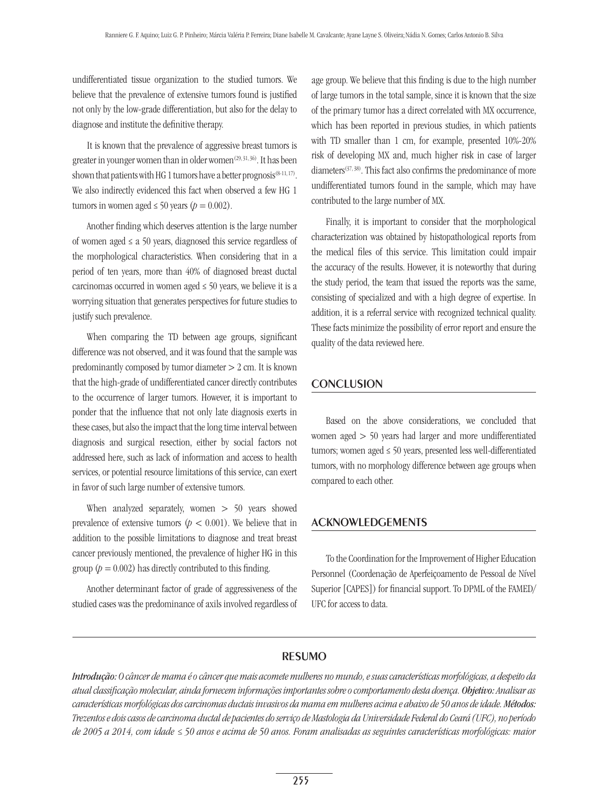undifferentiated tissue organization to the studied tumors. We believe that the prevalence of extensive tumors found is justified not only by the low-grade differentiation, but also for the delay to diagnose and institute the definitive therapy.

It is known that the prevalence of aggressive breast tumors is greater in younger women than in older women<sup>(29, 31, 36)</sup>. It has been shown that patients with HG 1 tumors have a better prognosis<sup> $(8-11, 17)$ </sup>. We also indirectly evidenced this fact when observed a few HG 1 tumors in women aged  $\leq 50$  years ( $p = 0.002$ ).

Another finding which deserves attention is the large number of women aged  $\le a$  50 years, diagnosed this service regardless of the morphological characteristics. When considering that in a period of ten years, more than 40% of diagnosed breast ductal carcinomas occurred in women aged  $\leq$  50 years, we believe it is a worrying situation that generates perspectives for future studies to justify such prevalence.

When comparing the TD between age groups, significant difference was not observed, and it was found that the sample was predominantly composed by tumor diameter > 2 cm. It is known that the high-grade of undifferentiated cancer directly contributes to the occurrence of larger tumors. However, it is important to ponder that the influence that not only late diagnosis exerts in these cases, but also the impact that the long time interval between diagnosis and surgical resection, either by social factors not addressed here, such as lack of information and access to health services, or potential resource limitations of this service, can exert in favor of such large number of extensive tumors.

When analyzed separately, women  $> 50$  years showed prevalence of extensive tumors ( $p < 0.001$ ). We believe that in addition to the possible limitations to diagnose and treat breast cancer previously mentioned, the prevalence of higher HG in this group ( $p = 0.002$ ) has directly contributed to this finding.

Another determinant factor of grade of aggressiveness of the studied cases was the predominance of axils involved regardless of

age group. We believe that this finding is due to the high number of large tumors in the total sample, since it is known that the size of the primary tumor has a direct correlated with MX occurrence, which has been reported in previous studies, in which patients with TD smaller than 1 cm, for example, presented 10%-20% risk of developing MX and, much higher risk in case of larger diameters<sup>(37, 38)</sup>. This fact also confirms the predominance of more undifferentiated tumors found in the sample, which may have contributed to the large number of MX.

Finally, it is important to consider that the morphological characterization was obtained by histopathological reports from the medical files of this service. This limitation could impair the accuracy of the results. However, it is noteworthy that during the study period, the team that issued the reports was the same, consisting of specialized and with a high degree of expertise. In addition, it is a referral service with recognized technical quality. These facts minimize the possibility of error report and ensure the quality of the data reviewed here.

#### Conclusion

Based on the above considerations, we concluded that women aged > 50 years had larger and more undifferentiated tumors; women aged ≤ 50 years, presented less well-differentiated tumors, with no morphology difference between age groups when compared to each other.

### Acknowledgements

To the Coordination for the Improvement of Higher Education Personnel (Coordenação de Aperfeiçoamento de Pessoal de Nível Superior [CAPES]) for financial support. To DPML of the FAMED/ UFC for access to data.

# resumo

*Introdução: O câncer de mama é o câncer que mais acomete mulheres no mundo, e suas características morfológicas, a despeito da atual classificação molecular, ainda fornecem informações importantes sobre o comportamento desta doença. Objetivo: Analisar as características morfológicas dos carcinomas ductais invasivos da mama em mulheres acima e abaixo de 50 anos de idade. Métodos: Trezentos e dois casos de carcinoma ductal de pacientes do serviço de Mastologia da Universidade Federal do Ceará (UFC), no período de 2005 a 2014, com idade ≤ 50 anos e acima de 50 anos. Foram analisadas as seguintes características morfológicas: maior*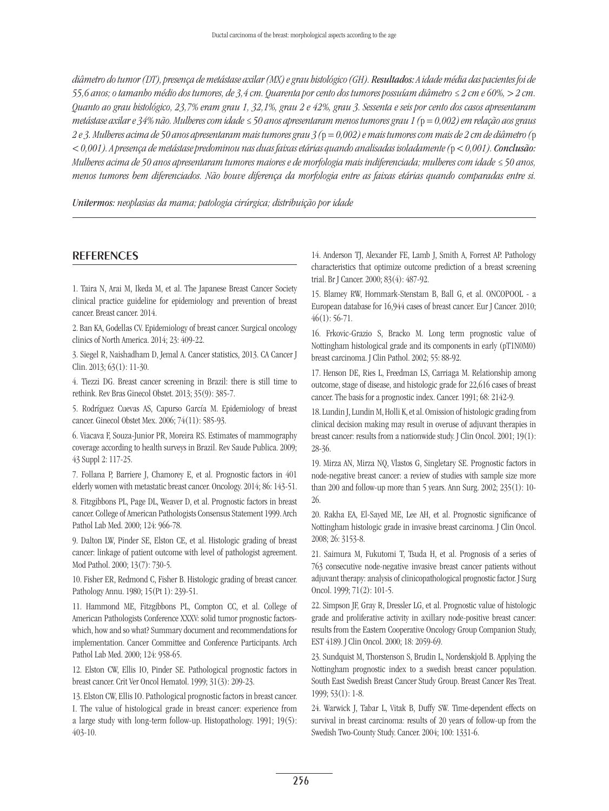*diâmetro do tumor (DT), presença de metástase axilar (MX) e grau histológico (GH). Resultados: A idade média das pacientes foi de 55,6 anos; o tamanho médio dos tumores, de 3,4 cm. Quarenta por cento dos tumores possuíam diâmetro ≤ 2 cm e 60%, > 2 cm. Quanto ao grau histológico, 23,7% eram grau 1, 32,1%, grau 2 e 42%, grau 3. Sessenta e seis por cento dos casos apresentaram metástase axilar e 34% não. Mulheres com idade ≤ 50 anos apresentaram menos tumores grau 1 (*p *= 0,002) em relação aos graus 2 e 3. Mulheres acima de 50 anos apresentaram mais tumores grau 3 (*p *= 0,002) e mais tumores com mais de 2 cm de diâmetro (*p *< 0,001). A presença de metástase predominou nas duas faixas etárias quando analisadas isoladamente (*p *< 0,001). Conclusão: Mulheres acima de 50 anos apresentaram tumores maiores e de morfologia mais indiferenciada; mulheres com idade ≤ 50 anos, menos tumores bem diferenciados. Não houve diferença da morfologia entre as faixas etárias quando comparadas entre si.* 

*Unitermos: neoplasias da mama; patologia cirúrgica; distribuição por idade*

#### **REFERENCES**

1. Taira N, Arai M, Ikeda M, et al. The Japanese Breast Cancer Society clinical practice guideline for epidemiology and prevention of breast cancer. Breast cancer. 2014.

2. Ban KA, Godellas CV. Epidemiology of breast cancer. Surgical oncology clinics of North America. 2014; 23: 409-22.

3. Siegel R, Naishadham D, Jemal A. Cancer statistics, 2013. CA Cancer J Clin. 2013; 63(1): 11-30.

4. Tiezzi DG. Breast cancer screening in Brazil: there is still time to rethink. Rev Bras Ginecol Obstet. 2013; 35(9): 385-7.

5. Rodríguez Cuevas AS, Capurso García M. Epidemiology of breast cancer. Ginecol Obstet Mex. 2006; 74(11): 585-93.

6. Viacava F, Souza-Junior PR, Moreira RS. Estimates of mammography coverage according to health surveys in Brazil. Rev Saude Publica. 2009; 43 Suppl 2: 117-25.

7. Follana P, Barriere J, Chamorey E, et al. Prognostic factors in 401 elderly women with metastatic breast cancer. Oncology. 2014; 86: 143-51.

8. Fitzgibbons PL, Page DL, Weaver D, et al. Prognostic factors in breast cancer. College of American Pathologists Consensus Statement 1999. Arch Pathol Lab Med. 2000; 124: 966-78.

9. Dalton LW, Pinder SE, Elston CE, et al. Histologic grading of breast cancer: linkage of patient outcome with level of pathologist agreement. Mod Pathol. 2000; 13(7): 730-5.

10. Fisher ER, Redmond C, Fisher B. Histologic grading of breast cancer. Pathology Annu. 1980; 15(Pt 1): 239-51.

11. Hammond ME, Fitzgibbons PL, Compton CC, et al. College of American Pathologists Conference XXXV: solid tumor prognostic factorswhich, how and so what? Summary document and recommendations for implementation. Cancer Committee and Conference Participants. Arch Pathol Lab Med. 2000; 124: 958-65.

12. Elston CW, Ellis IO, Pinder SE. Pathological prognostic factors in breast cancer. Crit Ver Oncol Hematol. 1999; 31(3): 209-23.

13. Elston CW, Ellis IO. Pathological prognostic factors in breast cancer. I. The value of histological grade in breast cancer: experience from a large study with long-term follow-up. Histopathology. 1991; 19(5): 403-10.

14. Anderson TJ, Alexander FE, Lamb J, Smith A, Forrest AP. Pathology characteristics that optimize outcome prediction of a breast screening trial. Br J Cancer. 2000; 83(4): 487-92.

15. Blamey RW, Hornmark-Stenstam B, Ball G, et al. ONCOPOOL - a European database for 16,944 cases of breast cancer. Eur J Cancer. 2010;  $46(1): 56-71.$ 

16. Frkovic-Grazio S, Bracko M. Long term prognostic value of Nottingham histological grade and its components in early (pT1N0M0) breast carcinoma. J Clin Pathol. 2002; 55: 88-92.

17. Henson DE, Ries L, Freedman LS, Carriaga M. Relationship among outcome, stage of disease, and histologic grade for 22,616 cases of breast cancer. The basis for a prognostic index. Cancer. 1991; 68: 2142-9.

18. Lundin J, Lundin M, Holli K, et al. Omission of histologic grading from clinical decision making may result in overuse of adjuvant therapies in breast cancer: results from a nationwide study. J Clin Oncol. 2001; 19(1): 28-36.

19. Mirza AN, Mirza NQ, Vlastos G, Singletary SE. Prognostic factors in node-negative breast cancer: a review of studies with sample size more than 200 and follow-up more than 5 years. Ann Surg. 2002; 235(1): 10- 26.

20. Rakha EA, El-Sayed ME, Lee AH, et al. Prognostic significance of Nottingham histologic grade in invasive breast carcinoma. J Clin Oncol. 2008; 26: 3153-8.

21. Saimura M, Fukutomi T, Tsuda H, et al. Prognosis of a series of 763 consecutive node-negative invasive breast cancer patients without adjuvant therapy: analysis of clinicopathological prognostic factor. J Surg Oncol. 1999; 71(2): 101-5.

22. Simpson JF, Gray R, Dressler LG, et al. Prognostic value of histologic grade and proliferative activity in axillary node-positive breast cancer: results from the Eastern Cooperative Oncology Group Companion Study, EST 4189. J Clin Oncol. 2000; 18: 2059-69.

23. Sundquist M, Thorstenson S, Brudin L, Nordenskjold B. Applying the Nottingham prognostic index to a swedish breast cancer population. South East Swedish Breast Cancer Study Group. Breast Cancer Res Treat. 1999; 53(1): 1-8.

24. Warwick J, Tabar L, Vitak B, Duffy SW. Time-dependent effects on survival in breast carcinoma: results of 20 years of follow-up from the Swedish Two-County Study. Cancer. 2004; 100: 1331-6.